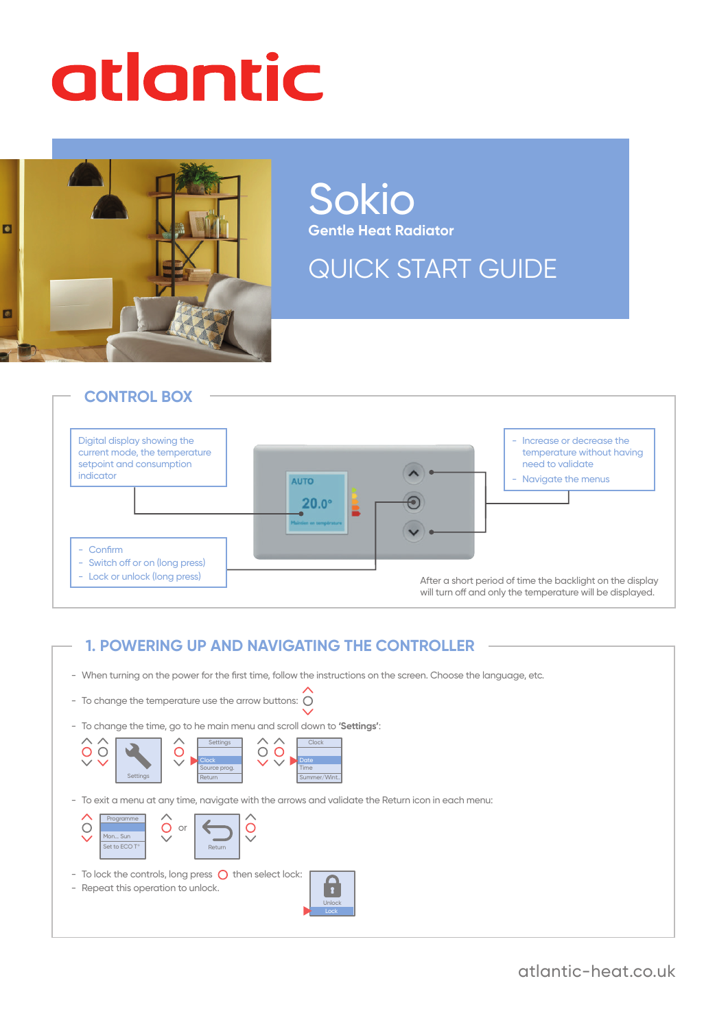



## Sokio **Gentle Heat Radiator**

# QUICK START GUIDE

#### **CONTROL BOX**



#### **1. POWERING UP AND NAVIGATING THE CONTROLLER**

- When turning on the power for the first time, follow the instructions on the screen. Choose the language, etc.

Unlock

 $\mathbf{r}$ 

- To change the temperature use the arrow buttons:  $\bigcirc$
- To change the time, go to he main menu and scroll down to **'Settings'**:





- To lock the controls, long press  $\bigcirc$  then select lock:

- Repeat this operation to unlock.

atlantic-heat.co.uk